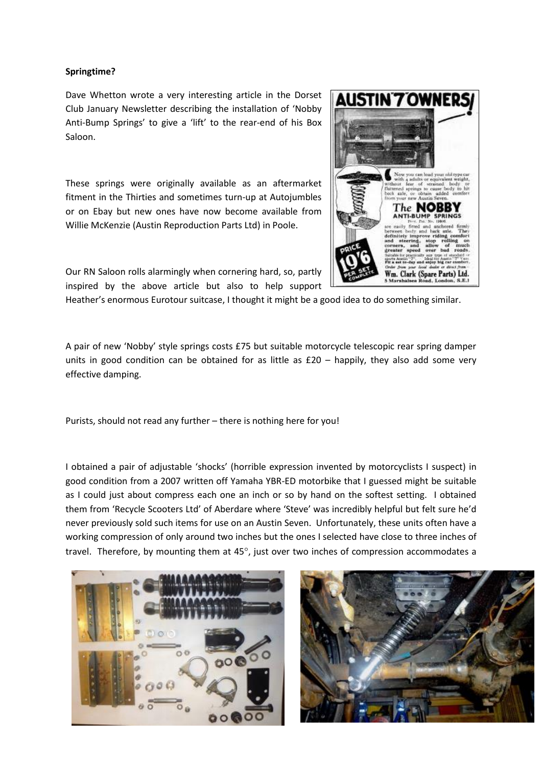## **Springtime?**

Dave Whetton wrote a very interesting article in the Dorset Club January Newsletter describing the installation of 'Nobby Anti-Bump Springs' to give a 'lift' to the rear-end of his Box Saloon.

These springs were originally available as an aftermarket fitment in the Thirties and sometimes turn-up at Autojumbles or on Ebay but new ones have now become available from Willie McKenzie (Austin Reproduction Parts Ltd) in Poole.

Our RN Saloon rolls alarmingly when cornering hard, so, partly inspired by the above article but also to help support

Heather's enormous Eurotour suitcase, I thought it might be a good idea to do something similar.

A pair of new 'Nobby' style springs costs £75 but suitable motorcycle telescopic rear spring damper units in good condition can be obtained for as little as  $£20 -$  happily, they also add some very effective damping.

Purists, should not read any further – there is nothing here for you!

I obtained a pair of adjustable 'shocks' (horrible expression invented by motorcyclists I suspect) in good condition from a 2007 written off Yamaha YBR-ED motorbike that I guessed might be suitable as I could just about compress each one an inch or so by hand on the softest setting. I obtained them from 'Recycle Scooters Ltd' of Aberdare where 'Steve' was incredibly helpful but felt sure he'd never previously sold such items for use on an Austin Seven. Unfortunately, these units often have a working compression of only around two inches but the ones I selected have close to three inches of travel. Therefore, by mounting them at  $45^\circ$ , just over two inches of compression accommodates a